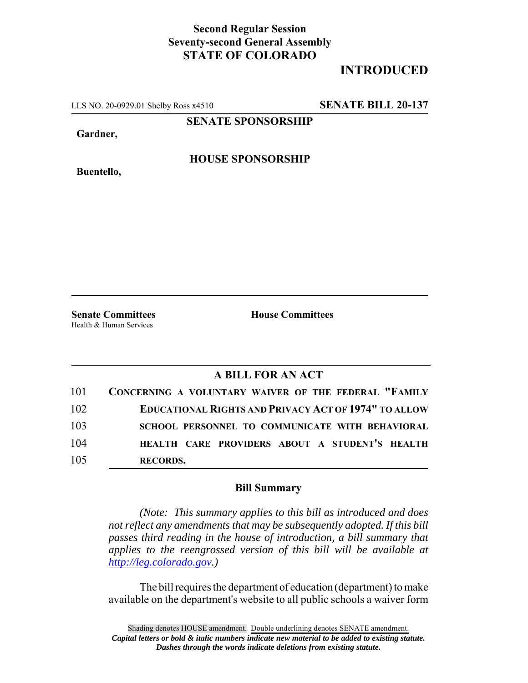## **Second Regular Session Seventy-second General Assembly STATE OF COLORADO**

## **INTRODUCED**

LLS NO. 20-0929.01 Shelby Ross x4510 **SENATE BILL 20-137**

**SENATE SPONSORSHIP**

**Gardner,**

**HOUSE SPONSORSHIP**

**Buentello,**

**Senate Committees House Committees** Health & Human Services

## **A BILL FOR AN ACT**

| 101 | CONCERNING A VOLUNTARY WAIVER OF THE FEDERAL "FAMILY        |
|-----|-------------------------------------------------------------|
| 102 | <b>EDUCATIONAL RIGHTS AND PRIVACY ACT OF 1974" TO ALLOW</b> |
| 103 | SCHOOL PERSONNEL TO COMMUNICATE WITH BEHAVIORAL             |
| 104 | HEALTH CARE PROVIDERS ABOUT A STUDENT'S HEALTH              |
| 105 | <b>RECORDS.</b>                                             |

## **Bill Summary**

*(Note: This summary applies to this bill as introduced and does not reflect any amendments that may be subsequently adopted. If this bill passes third reading in the house of introduction, a bill summary that applies to the reengrossed version of this bill will be available at http://leg.colorado.gov.)*

The bill requires the department of education (department) to make available on the department's website to all public schools a waiver form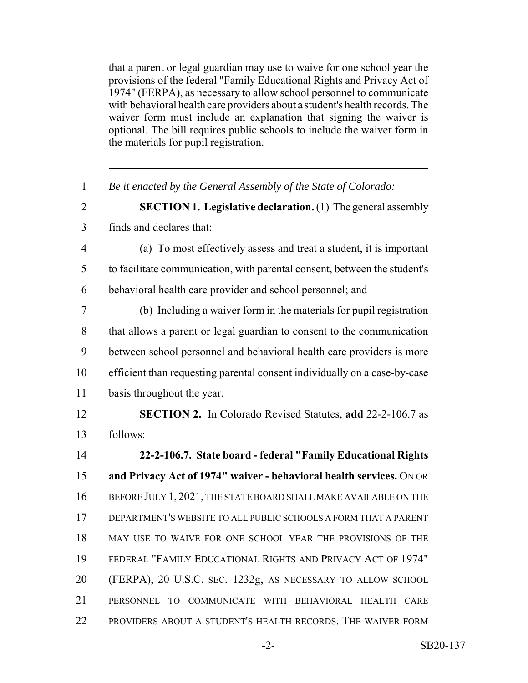that a parent or legal guardian may use to waive for one school year the provisions of the federal "Family Educational Rights and Privacy Act of 1974" (FERPA), as necessary to allow school personnel to communicate with behavioral health care providers about a student's health records. The waiver form must include an explanation that signing the waiver is optional. The bill requires public schools to include the waiver form in the materials for pupil registration.

| $\mathbf{1}$   | Be it enacted by the General Assembly of the State of Colorado:           |
|----------------|---------------------------------------------------------------------------|
| $\overline{2}$ | <b>SECTION 1. Legislative declaration.</b> (1) The general assembly       |
| 3              | finds and declares that:                                                  |
| $\overline{4}$ | (a) To most effectively assess and treat a student, it is important       |
| 5              | to facilitate communication, with parental consent, between the student's |
| 6              | behavioral health care provider and school personnel; and                 |
| $\overline{7}$ | (b) Including a waiver form in the materials for pupil registration       |
| 8              | that allows a parent or legal guardian to consent to the communication    |
| 9              | between school personnel and behavioral health care providers is more     |
| 10             | efficient than requesting parental consent individually on a case-by-case |
| 11             | basis throughout the year.                                                |
| 12             | <b>SECTION 2.</b> In Colorado Revised Statutes, add 22-2-106.7 as         |
| 13             | follows:                                                                  |
| 14             | 22-2-106.7. State board - federal "Family Educational Rights              |
| 15             | and Privacy Act of 1974" waiver - behavioral health services. ON OR       |
| 16             | BEFORE JULY 1, 2021, THE STATE BOARD SHALL MAKE AVAILABLE ON THE          |
| 17             | DEPARTMENT'S WEBSITE TO ALL PUBLIC SCHOOLS A FORM THAT A PARENT           |
| 18             | MAY USE TO WAIVE FOR ONE SCHOOL YEAR THE PROVISIONS OF THE                |
| 19             | FEDERAL "FAMILY EDUCATIONAL RIGHTS AND PRIVACY ACT OF 1974"               |
| 20             | (FERPA), 20 U.S.C. SEC. 1232g, AS NECESSARY TO ALLOW SCHOOL               |
| 21             | PERSONNEL TO COMMUNICATE WITH BEHAVIORAL HEALTH CARE                      |
| 22             | PROVIDERS ABOUT A STUDENT'S HEALTH RECORDS. THE WAIVER FORM               |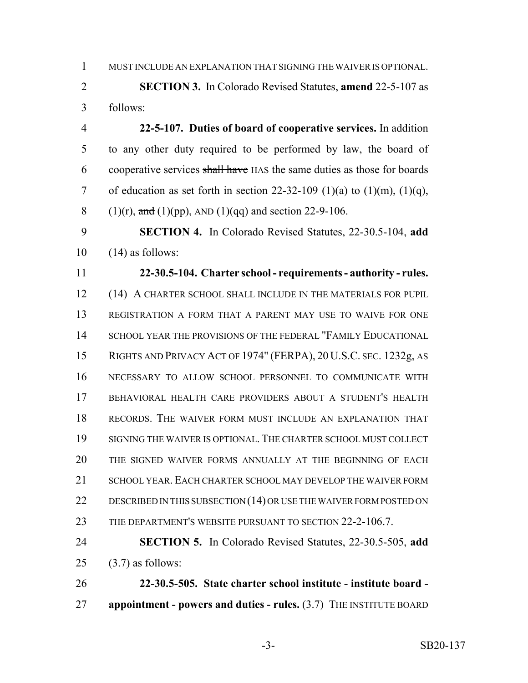MUST INCLUDE AN EXPLANATION THAT SIGNING THE WAIVER IS OPTIONAL.

 **SECTION 3.** In Colorado Revised Statutes, **amend** 22-5-107 as follows:

 **22-5-107. Duties of board of cooperative services.** In addition to any other duty required to be performed by law, the board of cooperative services shall have HAS the same duties as those for boards 7 of education as set forth in section  $22-32-109$  (1)(a) to (1)(m), (1)(q), 8 (1)(r), and (1)(pp), AND (1)(qq) and section 22-9-106.

 **SECTION 4.** In Colorado Revised Statutes, 22-30.5-104, **add**  $10 \quad (14)$  as follows:

 **22-30.5-104. Charter school - requirements - authority - rules.** (14) A CHARTER SCHOOL SHALL INCLUDE IN THE MATERIALS FOR PUPIL REGISTRATION A FORM THAT A PARENT MAY USE TO WAIVE FOR ONE 14 SCHOOL YEAR THE PROVISIONS OF THE FEDERAL "FAMILY EDUCATIONAL RIGHTS AND PRIVACY ACT OF 1974" (FERPA), 20 U.S.C. SEC. 1232g, AS NECESSARY TO ALLOW SCHOOL PERSONNEL TO COMMUNICATE WITH BEHAVIORAL HEALTH CARE PROVIDERS ABOUT A STUDENT'S HEALTH RECORDS. THE WAIVER FORM MUST INCLUDE AN EXPLANATION THAT SIGNING THE WAIVER IS OPTIONAL. THE CHARTER SCHOOL MUST COLLECT THE SIGNED WAIVER FORMS ANNUALLY AT THE BEGINNING OF EACH 21 SCHOOL YEAR. EACH CHARTER SCHOOL MAY DEVELOP THE WAIVER FORM 22 DESCRIBED IN THIS SUBSECTION (14) OR USE THE WAIVER FORM POSTED ON 23 THE DEPARTMENT'S WEBSITE PURSUANT TO SECTION 22-2-106.7.

 **SECTION 5.** In Colorado Revised Statutes, 22-30.5-505, **add** 25  $(3.7)$  as follows:

 **22-30.5-505. State charter school institute - institute board - appointment - powers and duties - rules.** (3.7) THE INSTITUTE BOARD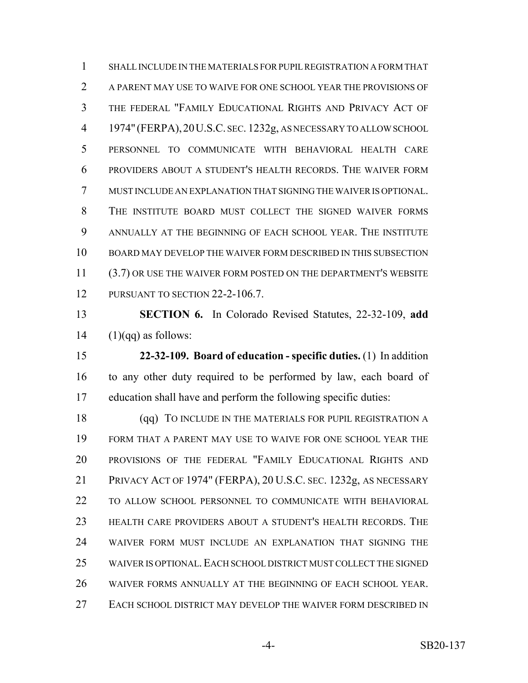SHALL INCLUDE IN THE MATERIALS FOR PUPIL REGISTRATION A FORM THAT A PARENT MAY USE TO WAIVE FOR ONE SCHOOL YEAR THE PROVISIONS OF THE FEDERAL "FAMILY EDUCATIONAL RIGHTS AND PRIVACY ACT OF 1974" (FERPA),20U.S.C. SEC. 1232g, AS NECESSARY TO ALLOW SCHOOL PERSONNEL TO COMMUNICATE WITH BEHAVIORAL HEALTH CARE PROVIDERS ABOUT A STUDENT'S HEALTH RECORDS. THE WAIVER FORM MUST INCLUDE AN EXPLANATION THAT SIGNING THE WAIVER IS OPTIONAL. THE INSTITUTE BOARD MUST COLLECT THE SIGNED WAIVER FORMS ANNUALLY AT THE BEGINNING OF EACH SCHOOL YEAR. THE INSTITUTE BOARD MAY DEVELOP THE WAIVER FORM DESCRIBED IN THIS SUBSECTION 11 (3.7) OR USE THE WAIVER FORM POSTED ON THE DEPARTMENT'S WEBSITE 12 PURSUANT TO SECTION 22-2-106.7.

 **SECTION 6.** In Colorado Revised Statutes, 22-32-109, **add** 14  $(1)(qq)$  as follows:

 **22-32-109. Board of education - specific duties.** (1) In addition to any other duty required to be performed by law, each board of education shall have and perform the following specific duties:

18 (qq) TO INCLUDE IN THE MATERIALS FOR PUPIL REGISTRATION A FORM THAT A PARENT MAY USE TO WAIVE FOR ONE SCHOOL YEAR THE PROVISIONS OF THE FEDERAL "FAMILY EDUCATIONAL RIGHTS AND PRIVACY ACT OF 1974" (FERPA), 20 U.S.C. SEC. 1232g, AS NECESSARY TO ALLOW SCHOOL PERSONNEL TO COMMUNICATE WITH BEHAVIORAL HEALTH CARE PROVIDERS ABOUT A STUDENT'S HEALTH RECORDS. THE WAIVER FORM MUST INCLUDE AN EXPLANATION THAT SIGNING THE WAIVER IS OPTIONAL.EACH SCHOOL DISTRICT MUST COLLECT THE SIGNED WAIVER FORMS ANNUALLY AT THE BEGINNING OF EACH SCHOOL YEAR. EACH SCHOOL DISTRICT MAY DEVELOP THE WAIVER FORM DESCRIBED IN